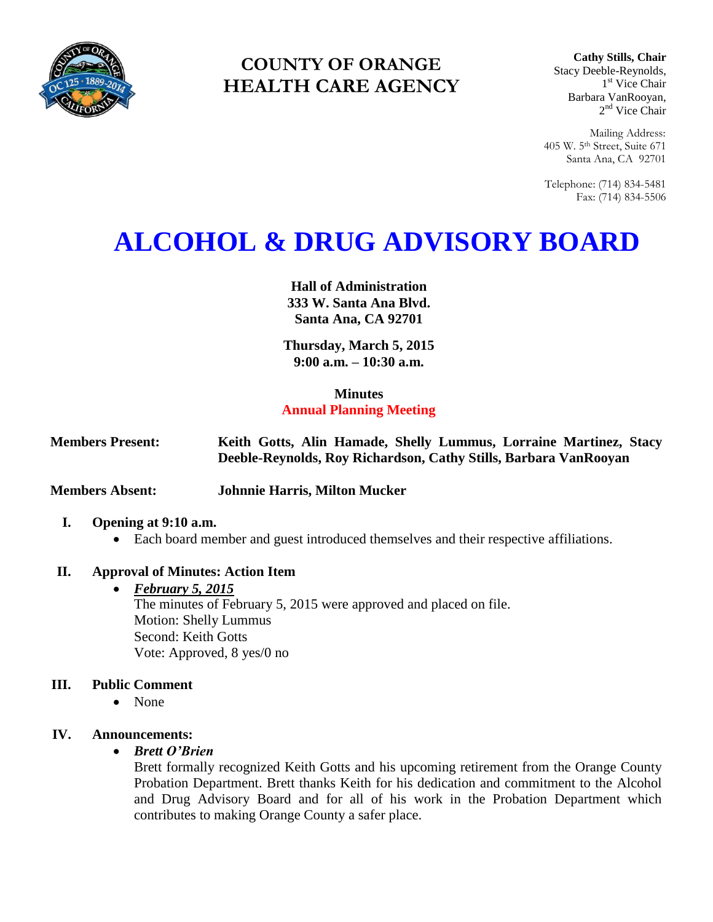

# **COUNTY OF ORANGE HEALTH CARE AGENCY**

**Cathy Stills, Chair** Stacy Deeble-Reynolds, 1 st Vice Chair Barbara VanRooyan, 2<sup>nd</sup> Vice Chair

Mailing Address: 405 W. 5th Street, Suite 671 Santa Ana, CA 92701

Telephone: (714) 834-5481 Fax: (714) 834-5506

# **ALCOHOL & DRUG ADVISORY BOARD**

**Hall of Administration 333 W. Santa Ana Blvd. Santa Ana, CA 92701**

**Thursday, March 5, 2015 9:00 a.m. – 10:30 a.m.** 

#### **Minutes**

# **Annual Planning Meeting**

| <b>Members Present:</b> |  | Keith Gotts, Alin Hamade, Shelly Lummus, Lorraine Martinez, Stacy |  |  |
|-------------------------|--|-------------------------------------------------------------------|--|--|
|                         |  | Deeble-Reynolds, Roy Richardson, Cathy Stills, Barbara VanRooyan  |  |  |

**Members Absent: Johnnie Harris, Milton Mucker** 

## **I. Opening at 9:10 a.m.**

Each board member and guest introduced themselves and their respective affiliations.

## **II. Approval of Minutes: Action Item**

 *February 5, 2015* The minutes of February 5, 2015 were approved and placed on file. Motion: Shelly Lummus Second: Keith Gotts Vote: Approved, 8 yes/0 no

# **III. Public Comment**

None

## **IV. Announcements:**

#### *Brett O'Brien*

Brett formally recognized Keith Gotts and his upcoming retirement from the Orange County Probation Department. Brett thanks Keith for his dedication and commitment to the Alcohol and Drug Advisory Board and for all of his work in the Probation Department which contributes to making Orange County a safer place.